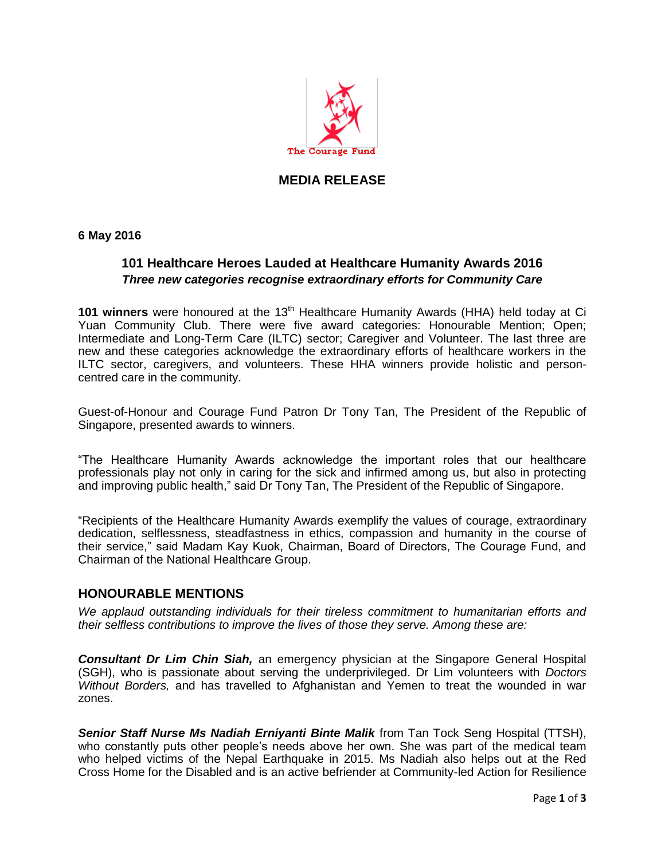

## **MEDIA RELEASE**

**6 May 2016**

## **101 Healthcare Heroes Lauded at Healthcare Humanity Awards 2016** *Three new categories recognise extraordinary efforts for Community Care*

101 winners were honoured at the 13<sup>th</sup> Healthcare Humanity Awards (HHA) held today at Ci Yuan Community Club. There were five award categories: Honourable Mention; Open; Intermediate and Long-Term Care (ILTC) sector; Caregiver and Volunteer. The last three are new and these categories acknowledge the extraordinary efforts of healthcare workers in the ILTC sector, caregivers, and volunteers. These HHA winners provide holistic and personcentred care in the community.

Guest-of-Honour and Courage Fund Patron Dr Tony Tan, The President of the Republic of Singapore, presented awards to winners.

"The Healthcare Humanity Awards acknowledge the important roles that our healthcare professionals play not only in caring for the sick and infirmed among us, but also in protecting and improving public health," said Dr Tony Tan, The President of the Republic of Singapore.

"Recipients of the Healthcare Humanity Awards exemplify the values of courage, extraordinary dedication, selflessness, steadfastness in ethics, compassion and humanity in the course of their service," said Madam Kay Kuok, Chairman, Board of Directors, The Courage Fund, and Chairman of the National Healthcare Group.

#### **HONOURABLE MENTIONS**

*We applaud outstanding individuals for their tireless commitment to humanitarian efforts and their selfless contributions to improve the lives of those they serve. Among these are:*

*Consultant Dr Lim Chin Siah,* an emergency physician at the Singapore General Hospital (SGH), who is passionate about serving the underprivileged. Dr Lim volunteers with *Doctors Without Borders,* and has travelled to Afghanistan and Yemen to treat the wounded in war zones.

**Senior Staff Nurse Ms Nadiah Erniyanti Binte Malik** from Tan Tock Seng Hospital (TTSH), who constantly puts other people's needs above her own. She was part of the medical team who helped victims of the Nepal Earthquake in 2015. Ms Nadiah also helps out at the Red Cross Home for the Disabled and is an active befriender at Community-led Action for Resilience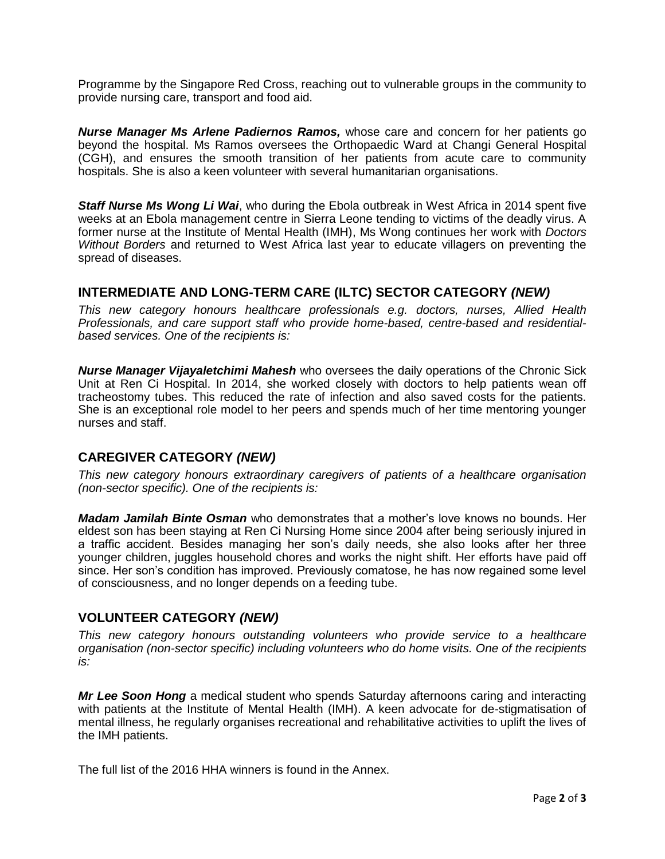Programme by the Singapore Red Cross, reaching out to vulnerable groups in the community to provide nursing care, transport and food aid.

*Nurse Manager Ms Arlene Padiernos Ramos,* whose care and concern for her patients go beyond the hospital. Ms Ramos oversees the Orthopaedic Ward at Changi General Hospital (CGH), and ensures the smooth transition of her patients from acute care to community hospitals. She is also a keen volunteer with several humanitarian organisations.

*Staff Nurse Ms Wong Li Wai*, who during the Ebola outbreak in West Africa in 2014 spent five weeks at an Ebola management centre in Sierra Leone tending to victims of the deadly virus. A former nurse at the Institute of Mental Health (IMH), Ms Wong continues her work with *Doctors Without Borders* and returned to West Africa last year to educate villagers on preventing the spread of diseases.

## **INTERMEDIATE AND LONG-TERM CARE (ILTC) SECTOR CATEGORY** *(NEW)*

*This new category honours healthcare professionals e.g. doctors, nurses, Allied Health Professionals, and care support staff who provide home-based, centre-based and residentialbased services. One of the recipients is:* 

*Nurse Manager Vijayaletchimi Mahesh* who oversees the daily operations of the Chronic Sick Unit at Ren Ci Hospital. In 2014, she worked closely with doctors to help patients wean off tracheostomy tubes. This reduced the rate of infection and also saved costs for the patients. She is an exceptional role model to her peers and spends much of her time mentoring younger nurses and staff.

## **CAREGIVER CATEGORY** *(NEW)*

*This new category honours extraordinary caregivers of patients of a healthcare organisation (non-sector specific). One of the recipients is:* 

*Madam Jamilah Binte Osman* who demonstrates that a mother's love knows no bounds. Her eldest son has been staying at Ren Ci Nursing Home since 2004 after being seriously injured in a traffic accident. Besides managing her son's daily needs, she also looks after her three younger children, juggles household chores and works the night shift. Her efforts have paid off since. Her son's condition has improved. Previously comatose, he has now regained some level of consciousness, and no longer depends on a feeding tube.

## **VOLUNTEER CATEGORY** *(NEW)*

*This new category honours outstanding volunteers who provide service to a healthcare organisation (non-sector specific) including volunteers who do home visits. One of the recipients is:* 

*Mr Lee Soon Hong* a medical student who spends Saturday afternoons caring and interacting with patients at the Institute of Mental Health (IMH). A keen advocate for de-stigmatisation of mental illness, he regularly organises recreational and rehabilitative activities to uplift the lives of the IMH patients.

The full list of the 2016 HHA winners is found in the Annex.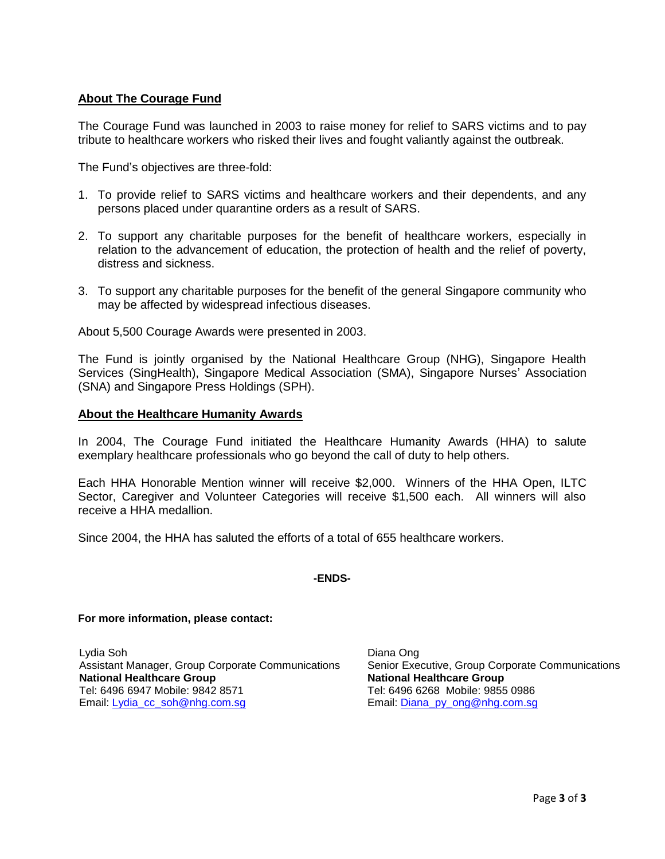## **About The Courage Fund**

The Courage Fund was launched in 2003 to raise money for relief to SARS victims and to pay tribute to healthcare workers who risked their lives and fought valiantly against the outbreak.

The Fund's objectives are three-fold:

- 1. To provide relief to SARS victims and healthcare workers and their dependents, and any persons placed under quarantine orders as a result of SARS.
- 2. To support any charitable purposes for the benefit of healthcare workers, especially in relation to the advancement of education, the protection of health and the relief of poverty, distress and sickness.
- 3. To support any charitable purposes for the benefit of the general Singapore community who may be affected by widespread infectious diseases.

About 5,500 Courage Awards were presented in 2003.

The Fund is jointly organised by the National Healthcare Group (NHG), Singapore Health Services (SingHealth), Singapore Medical Association (SMA), Singapore Nurses' Association (SNA) and Singapore Press Holdings (SPH).

#### **About the Healthcare Humanity Awards**

In 2004, The Courage Fund initiated the Healthcare Humanity Awards (HHA) to salute exemplary healthcare professionals who go beyond the call of duty to help others.

Each HHA Honorable Mention winner will receive \$2,000. Winners of the HHA Open, ILTC Sector, Caregiver and Volunteer Categories will receive \$1,500 each. All winners will also receive a HHA medallion.

Since 2004, the HHA has saluted the efforts of a total of 655 healthcare workers.

#### **-ENDS-**

#### **For more information, please contact:**

Lydia Soh Assistant Manager, Group Corporate Communications **National Healthcare Group** Tel: 6496 6947 Mobile: 9842 8571 Email: [Lydia\\_cc\\_soh@nhg.com.sg](mailto:Lydia_cc_soh@nhg.com.sg)

Diana Ong Senior Executive, Group Corporate Communications **National Healthcare Group** Tel: 6496 6268 Mobile: 9855 0986 Email: [Diana\\_py\\_ong@nhg.com.sg](mailto:Diana_py_ong@nhg.com.sg)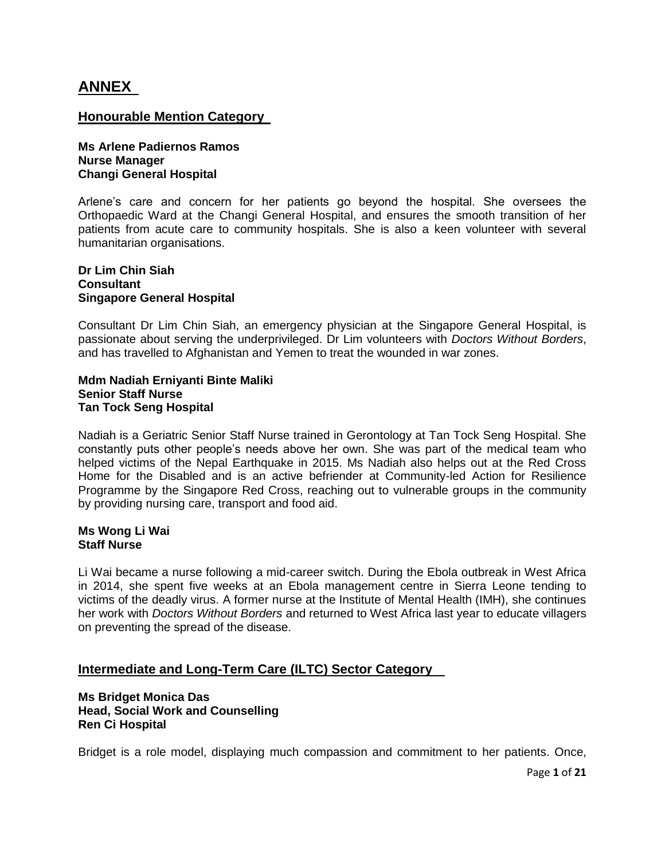# **ANNEX**

## **Honourable Mention Category**

**Ms Arlene Padiernos Ramos Nurse Manager Changi General Hospital** 

Arlene's care and concern for her patients go beyond the hospital. She oversees the Orthopaedic Ward at the Changi General Hospital, and ensures the smooth transition of her patients from acute care to community hospitals. She is also a keen volunteer with several humanitarian organisations.

## **Dr Lim Chin Siah Consultant Singapore General Hospital**

Consultant Dr Lim Chin Siah, an emergency physician at the Singapore General Hospital, is passionate about serving the underprivileged. Dr Lim volunteers with *Doctors Without Borders*, and has travelled to Afghanistan and Yemen to treat the wounded in war zones.

#### **Mdm Nadiah Erniyanti Binte Maliki Senior Staff Nurse Tan Tock Seng Hospital**

Nadiah is a Geriatric Senior Staff Nurse trained in Gerontology at Tan Tock Seng Hospital. She constantly puts other people's needs above her own. She was part of the medical team who helped victims of the Nepal Earthquake in 2015. Ms Nadiah also helps out at the Red Cross Home for the Disabled and is an active befriender at Community-led Action for Resilience Programme by the Singapore Red Cross, reaching out to vulnerable groups in the community by providing nursing care, transport and food aid.

## **Ms Wong Li Wai Staff Nurse**

Li Wai became a nurse following a mid-career switch. During the Ebola outbreak in West Africa in 2014, she spent five weeks at an Ebola management centre in Sierra Leone tending to victims of the deadly virus. A former nurse at the Institute of Mental Health (IMH), she continues her work with *Doctors Without Borders* and returned to West Africa last year to educate villagers on preventing the spread of the disease.

## **Intermediate and Long-Term Care (ILTC) Sector Category**

## **Ms Bridget Monica Das Head, Social Work and Counselling Ren Ci Hospital**

Bridget is a role model, displaying much compassion and commitment to her patients. Once,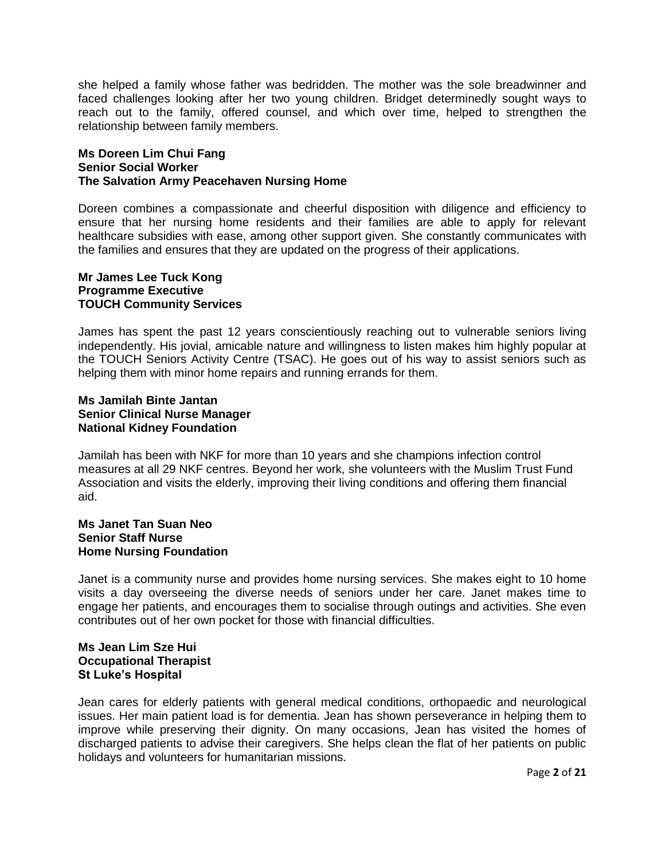she helped a family whose father was bedridden. The mother was the sole breadwinner and faced challenges looking after her two young children. Bridget determinedly sought ways to reach out to the family, offered counsel, and which over time, helped to strengthen the relationship between family members.

## **Ms Doreen Lim Chui Fang Senior Social Worker The Salvation Army Peacehaven Nursing Home**

Doreen combines a compassionate and cheerful disposition with diligence and efficiency to ensure that her nursing home residents and their families are able to apply for relevant healthcare subsidies with ease, among other support given. She constantly communicates with the families and ensures that they are updated on the progress of their applications.

#### **Mr James Lee Tuck Kong Programme Executive TOUCH Community Services**

James has spent the past 12 years conscientiously reaching out to vulnerable seniors living independently. His jovial, amicable nature and willingness to listen makes him highly popular at the TOUCH Seniors Activity Centre (TSAC). He goes out of his way to assist seniors such as helping them with minor home repairs and running errands for them.

## **Ms Jamilah Binte Jantan Senior Clinical Nurse Manager National Kidney Foundation**

Jamilah has been with NKF for more than 10 years and she champions infection control measures at all 29 NKF centres. Beyond her work, she volunteers with the Muslim Trust Fund Association and visits the elderly, improving their living conditions and offering them financial aid.

#### **Ms Janet Tan Suan Neo Senior Staff Nurse Home Nursing Foundation**

Janet is a community nurse and provides home nursing services. She makes eight to 10 home visits a day overseeing the diverse needs of seniors under her care. Janet makes time to engage her patients, and encourages them to socialise through outings and activities. She even contributes out of her own pocket for those with financial difficulties.

## **Ms Jean Lim Sze Hui Occupational Therapist St Luke's Hospital**

Jean cares for elderly patients with general medical conditions, orthopaedic and neurological issues. Her main patient load is for dementia. Jean has shown perseverance in helping them to improve while preserving their dignity. On many occasions, Jean has visited the homes of discharged patients to advise their caregivers. She helps clean the flat of her patients on public holidays and volunteers for humanitarian missions.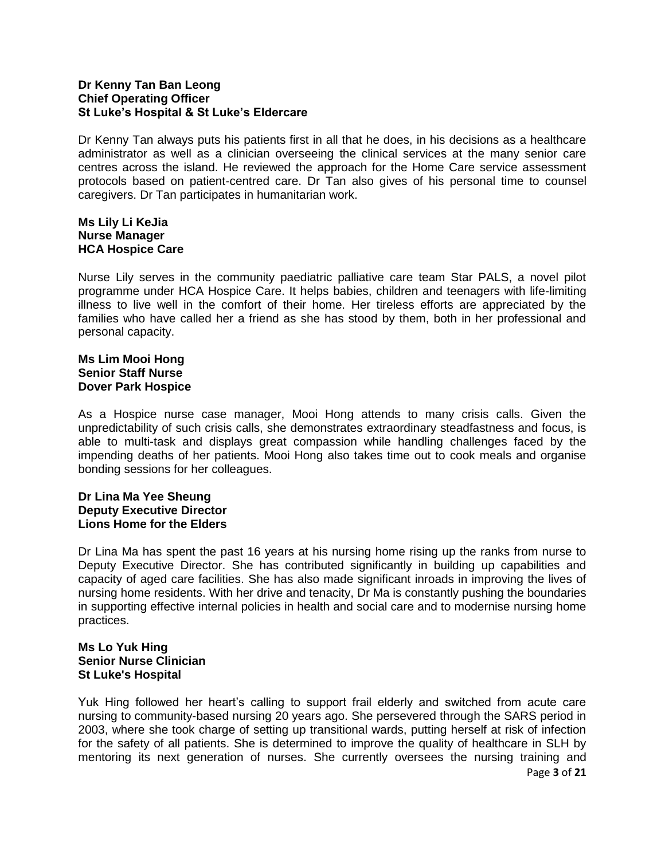## **Dr Kenny Tan Ban Leong Chief Operating Officer St Luke's Hospital & St Luke's Eldercare**

Dr Kenny Tan always puts his patients first in all that he does, in his decisions as a healthcare administrator as well as a clinician overseeing the clinical services at the many senior care centres across the island. He reviewed the approach for the Home Care service assessment protocols based on patient-centred care. Dr Tan also gives of his personal time to counsel caregivers. Dr Tan participates in humanitarian work.

### **Ms Lily Li KeJia Nurse Manager HCA Hospice Care**

Nurse Lily serves in the community paediatric palliative care team Star PALS, a novel pilot programme under HCA Hospice Care. It helps babies, children and teenagers with life-limiting illness to live well in the comfort of their home. Her tireless efforts are appreciated by the families who have called her a friend as she has stood by them, both in her professional and personal capacity.

## **Ms Lim Mooi Hong Senior Staff Nurse Dover Park Hospice**

As a Hospice nurse case manager, Mooi Hong attends to many crisis calls. Given the unpredictability of such crisis calls, she demonstrates extraordinary steadfastness and focus, is able to multi-task and displays great compassion while handling challenges faced by the impending deaths of her patients. Mooi Hong also takes time out to cook meals and organise bonding sessions for her colleagues.

## **Dr Lina Ma Yee Sheung Deputy Executive Director Lions Home for the Elders**

Dr Lina Ma has spent the past 16 years at his nursing home rising up the ranks from nurse to Deputy Executive Director. She has contributed significantly in building up capabilities and capacity of aged care facilities. She has also made significant inroads in improving the lives of nursing home residents. With her drive and tenacity, Dr Ma is constantly pushing the boundaries in supporting effective internal policies in health and social care and to modernise nursing home practices.

#### **Ms Lo Yuk Hing Senior Nurse Clinician St Luke's Hospital**

Page **3** of **21** Yuk Hing followed her heart's calling to support frail elderly and switched from acute care nursing to community-based nursing 20 years ago. She persevered through the SARS period in 2003, where she took charge of setting up transitional wards, putting herself at risk of infection for the safety of all patients. She is determined to improve the quality of healthcare in SLH by mentoring its next generation of nurses. She currently oversees the nursing training and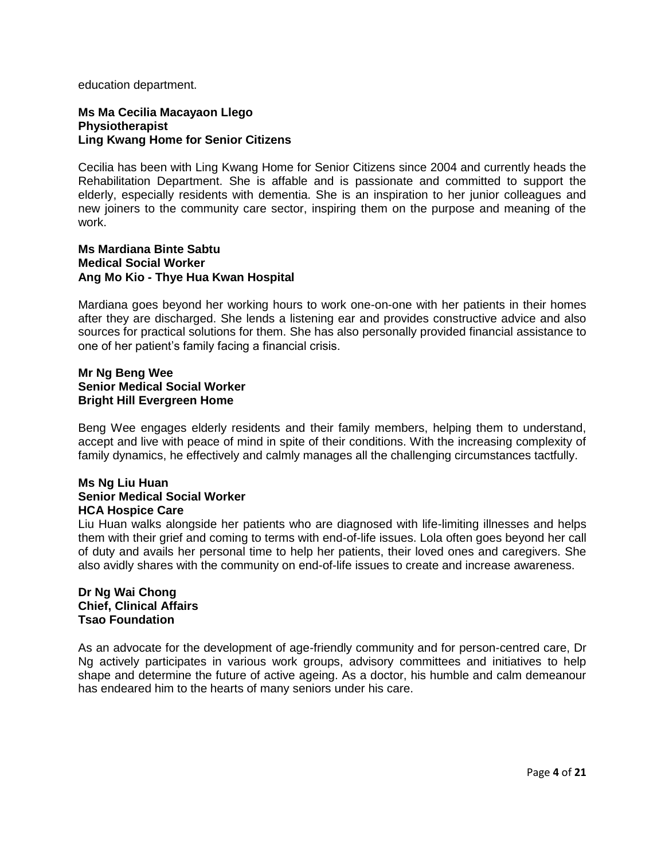education department.

#### **Ms Ma Cecilia Macayaon Llego Physiotherapist Ling Kwang Home for Senior Citizens**

Cecilia has been with Ling Kwang Home for Senior Citizens since 2004 and currently heads the Rehabilitation Department. She is affable and is passionate and committed to support the elderly, especially residents with dementia. She is an inspiration to her junior colleagues and new joiners to the community care sector, inspiring them on the purpose and meaning of the work.

#### **Ms Mardiana Binte Sabtu Medical Social Worker Ang Mo Kio - Thye Hua Kwan Hospital**

Mardiana goes beyond her working hours to work one-on-one with her patients in their homes after they are discharged. She lends a listening ear and provides constructive advice and also sources for practical solutions for them. She has also personally provided financial assistance to one of her patient's family facing a financial crisis.

### **Mr Ng Beng Wee Senior Medical Social Worker Bright Hill Evergreen Home**

Beng Wee engages elderly residents and their family members, helping them to understand, accept and live with peace of mind in spite of their conditions. With the increasing complexity of family dynamics, he effectively and calmly manages all the challenging circumstances tactfully.

#### **Ms Ng Liu Huan Senior Medical Social Worker HCA Hospice Care**

Liu Huan walks alongside her patients who are diagnosed with life-limiting illnesses and helps them with their grief and coming to terms with end-of-life issues. Lola often goes beyond her call of duty and avails her personal time to help her patients, their loved ones and caregivers. She also avidly shares with the community on end-of-life issues to create and increase awareness.

## **Dr Ng Wai Chong Chief, Clinical Affairs Tsao Foundation**

As an advocate for the development of age-friendly community and for person-centred care, Dr Ng actively participates in various work groups, advisory committees and initiatives to help shape and determine the future of active ageing. As a doctor, his humble and calm demeanour has endeared him to the hearts of many seniors under his care.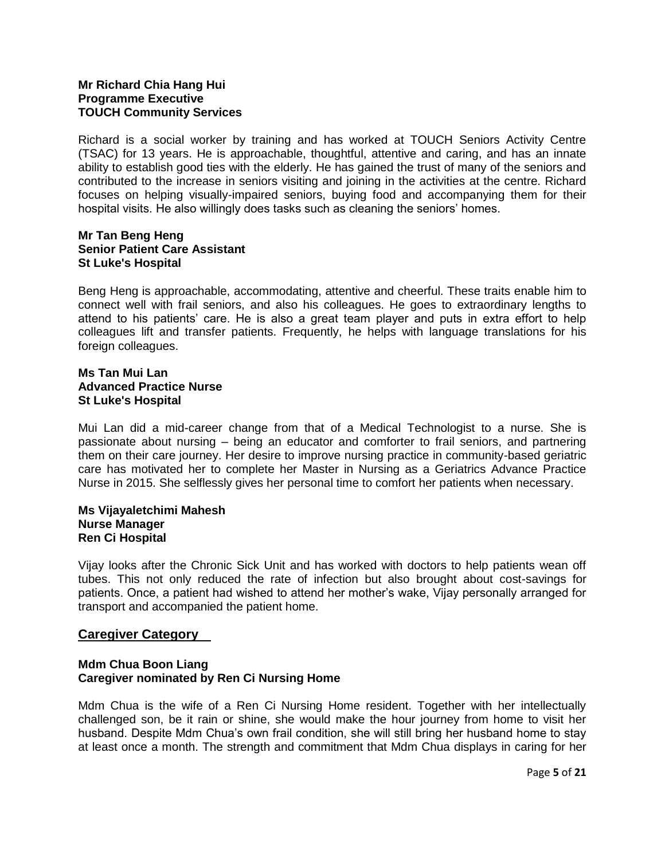## **Mr Richard Chia Hang Hui Programme Executive TOUCH Community Services**

Richard is a social worker by training and has worked at TOUCH Seniors Activity Centre (TSAC) for 13 years. He is approachable, thoughtful, attentive and caring, and has an innate ability to establish good ties with the elderly. He has gained the trust of many of the seniors and contributed to the increase in seniors visiting and joining in the activities at the centre. Richard focuses on helping visually-impaired seniors, buying food and accompanying them for their hospital visits. He also willingly does tasks such as cleaning the seniors' homes.

## **Mr Tan Beng Heng Senior Patient Care Assistant St Luke's Hospital**

Beng Heng is approachable, accommodating, attentive and cheerful. These traits enable him to connect well with frail seniors, and also his colleagues. He goes to extraordinary lengths to attend to his patients' care. He is also a great team player and puts in extra effort to help colleagues lift and transfer patients. Frequently, he helps with language translations for his foreign colleagues.

#### **Ms Tan Mui Lan Advanced Practice Nurse St Luke's Hospital**

Mui Lan did a mid-career change from that of a Medical Technologist to a nurse. She is passionate about nursing – being an educator and comforter to frail seniors, and partnering them on their care journey. Her desire to improve nursing practice in community-based geriatric care has motivated her to complete her Master in Nursing as a Geriatrics Advance Practice Nurse in 2015. She selflessly gives her personal time to comfort her patients when necessary.

#### **Ms Vijayaletchimi Mahesh Nurse Manager Ren Ci Hospital**

Vijay looks after the Chronic Sick Unit and has worked with doctors to help patients wean off tubes. This not only reduced the rate of infection but also brought about cost-savings for patients. Once, a patient had wished to attend her mother's wake, Vijay personally arranged for transport and accompanied the patient home.

## **Caregiver Category**

## **Mdm Chua Boon Liang Caregiver nominated by Ren Ci Nursing Home**

Mdm Chua is the wife of a Ren Ci Nursing Home resident. Together with her intellectually challenged son, be it rain or shine, she would make the hour journey from home to visit her husband. Despite Mdm Chua's own frail condition, she will still bring her husband home to stay at least once a month. The strength and commitment that Mdm Chua displays in caring for her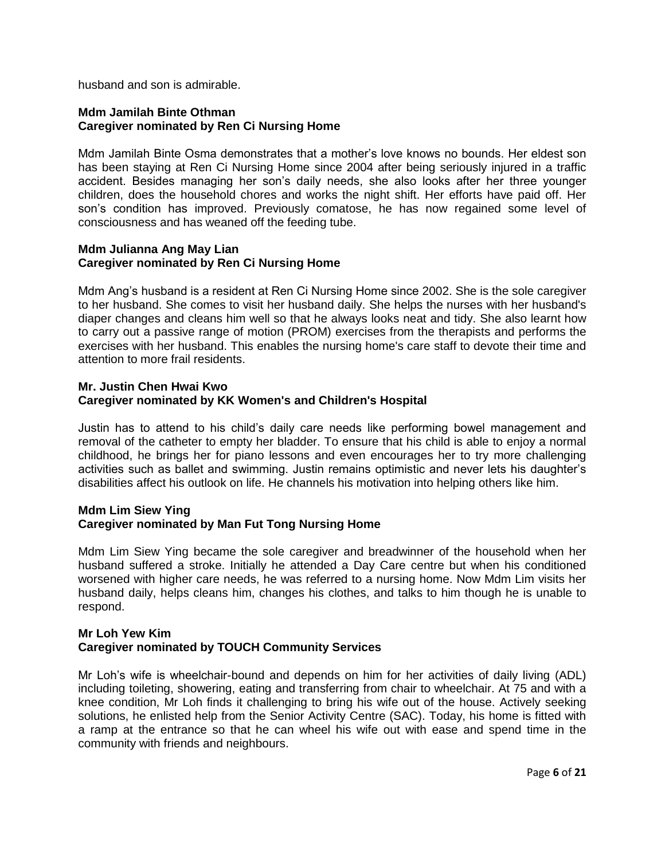husband and son is admirable.

## **Mdm Jamilah Binte Othman Caregiver nominated by Ren Ci Nursing Home**

Mdm Jamilah Binte Osma demonstrates that a mother's love knows no bounds. Her eldest son has been staying at Ren Ci Nursing Home since 2004 after being seriously injured in a traffic accident. Besides managing her son's daily needs, she also looks after her three younger children, does the household chores and works the night shift. Her efforts have paid off. Her son's condition has improved. Previously comatose, he has now regained some level of consciousness and has weaned off the feeding tube.

#### **Mdm Julianna Ang May Lian Caregiver nominated by Ren Ci Nursing Home**

Mdm Ang's husband is a resident at Ren Ci Nursing Home since 2002. She is the sole caregiver to her husband. She comes to visit her husband daily. She helps the nurses with her husband's diaper changes and cleans him well so that he always looks neat and tidy. She also learnt how to carry out a passive range of motion (PROM) exercises from the therapists and performs the exercises with her husband. This enables the nursing home's care staff to devote their time and attention to more frail residents.

## **Mr. Justin Chen Hwai Kwo Caregiver nominated by KK Women's and Children's Hospital**

Justin has to attend to his child's daily care needs like performing bowel management and removal of the catheter to empty her bladder. To ensure that his child is able to enjoy a normal childhood, he brings her for piano lessons and even encourages her to try more challenging activities such as ballet and swimming. Justin remains optimistic and never lets his daughter's disabilities affect his outlook on life. He channels his motivation into helping others like him.

## **Mdm Lim Siew Ying Caregiver nominated by Man Fut Tong Nursing Home**

Mdm Lim Siew Ying became the sole caregiver and breadwinner of the household when her husband suffered a stroke. Initially he attended a Day Care centre but when his conditioned worsened with higher care needs, he was referred to a nursing home. Now Mdm Lim visits her husband daily, helps cleans him, changes his clothes, and talks to him though he is unable to respond.

## **Mr Loh Yew Kim Caregiver nominated by TOUCH Community Services**

Mr Loh's wife is wheelchair-bound and depends on him for her activities of daily living (ADL) including toileting, showering, eating and transferring from chair to wheelchair. At 75 and with a knee condition, Mr Loh finds it challenging to bring his wife out of the house. Actively seeking solutions, he enlisted help from the Senior Activity Centre (SAC). Today, his home is fitted with a ramp at the entrance so that he can wheel his wife out with ease and spend time in the community with friends and neighbours.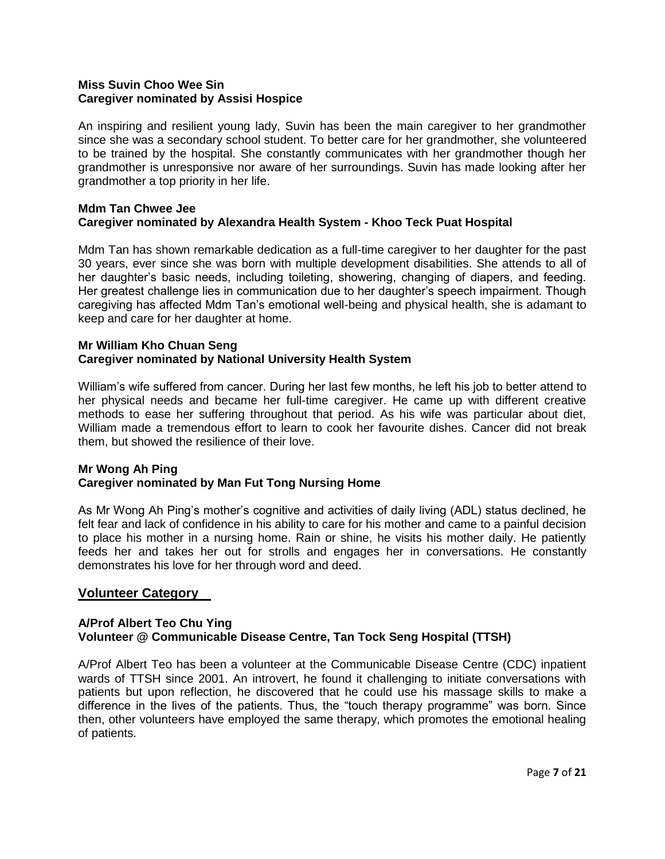## **Miss Suvin Choo Wee Sin Caregiver nominated by Assisi Hospice**

An inspiring and resilient young lady, Suvin has been the main caregiver to her grandmother since she was a secondary school student. To better care for her grandmother, she volunteered to be trained by the hospital. She constantly communicates with her grandmother though her grandmother is unresponsive nor aware of her surroundings. Suvin has made looking after her grandmother a top priority in her life.

## **Mdm Tan Chwee Jee Caregiver nominated by Alexandra Health System - Khoo Teck Puat Hospital**

Mdm Tan has shown remarkable dedication as a full-time caregiver to her daughter for the past 30 years, ever since she was born with multiple development disabilities. She attends to all of her daughter's basic needs, including toileting, showering, changing of diapers, and feeding. Her greatest challenge lies in communication due to her daughter's speech impairment. Though caregiving has affected Mdm Tan's emotional well-being and physical health, she is adamant to keep and care for her daughter at home.

#### **Mr William Kho Chuan Seng Caregiver nominated by National University Health System**

William's wife suffered from cancer. During her last few months, he left his job to better attend to her physical needs and became her full-time caregiver. He came up with different creative methods to ease her suffering throughout that period. As his wife was particular about diet, William made a tremendous effort to learn to cook her favourite dishes. Cancer did not break them, but showed the resilience of their love.

## **Mr Wong Ah Ping Caregiver nominated by Man Fut Tong Nursing Home**

As Mr Wong Ah Ping's mother's cognitive and activities of daily living (ADL) status declined, he felt fear and lack of confidence in his ability to care for his mother and came to a painful decision to place his mother in a nursing home. Rain or shine, he visits his mother daily. He patiently feeds her and takes her out for strolls and engages her in conversations. He constantly demonstrates his love for her through word and deed.

## **Volunteer Category**

## **A/Prof Albert Teo Chu Ying Volunteer @ Communicable Disease Centre, Tan Tock Seng Hospital (TTSH)**

A/Prof Albert Teo has been a volunteer at the Communicable Disease Centre (CDC) inpatient wards of TTSH since 2001. An introvert, he found it challenging to initiate conversations with patients but upon reflection, he discovered that he could use his massage skills to make a difference in the lives of the patients. Thus, the "touch therapy programme" was born. Since then, other volunteers have employed the same therapy, which promotes the emotional healing of patients.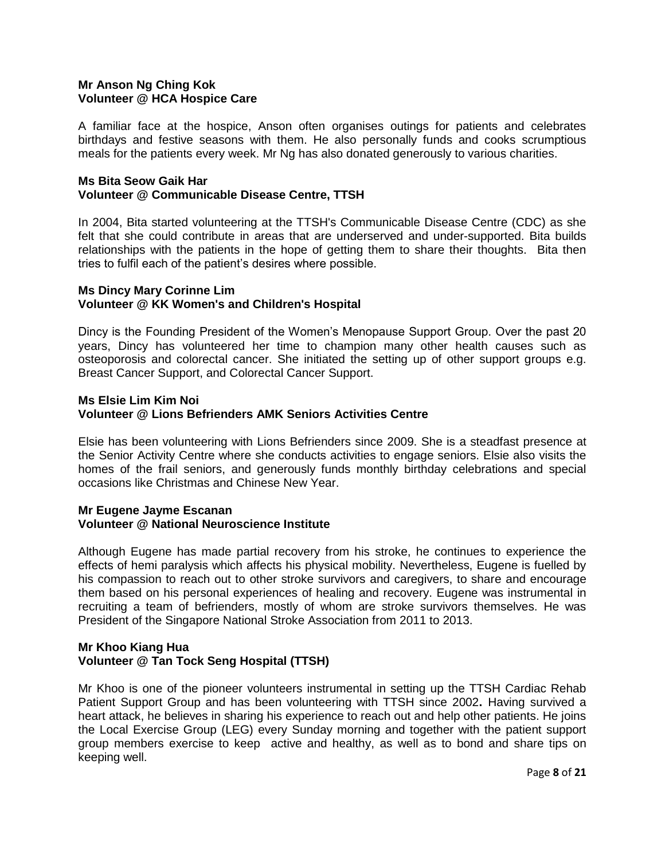## **Mr Anson Ng Ching Kok Volunteer @ HCA Hospice Care**

A familiar face at the hospice, Anson often organises outings for patients and celebrates birthdays and festive seasons with them. He also personally funds and cooks scrumptious meals for the patients every week. Mr Ng has also donated generously to various charities.

#### **Ms Bita Seow Gaik Har Volunteer @ Communicable Disease Centre, TTSH**

In 2004, Bita started volunteering at the TTSH's Communicable Disease Centre (CDC) as she felt that she could contribute in areas that are underserved and under-supported. Bita builds relationships with the patients in the hope of getting them to share their thoughts. Bita then tries to fulfil each of the patient's desires where possible.

## **Ms Dincy Mary Corinne Lim Volunteer @ KK Women's and Children's Hospital**

Dincy is the Founding President of the Women's Menopause Support Group. Over the past 20 years, Dincy has volunteered her time to champion many other health causes such as osteoporosis and colorectal cancer. She initiated the setting up of other support groups e.g. Breast Cancer Support, and Colorectal Cancer Support.

## **Ms Elsie Lim Kim Noi Volunteer @ Lions Befrienders AMK Seniors Activities Centre**

Elsie has been volunteering with Lions Befrienders since 2009. She is a steadfast presence at the Senior Activity Centre where she conducts activities to engage seniors. Elsie also visits the homes of the frail seniors, and generously funds monthly birthday celebrations and special occasions like Christmas and Chinese New Year.

## **Mr Eugene Jayme Escanan Volunteer @ National Neuroscience Institute**

Although Eugene has made partial recovery from his stroke, he continues to experience the effects of hemi paralysis which affects his physical mobility. Nevertheless, Eugene is fuelled by his compassion to reach out to other stroke survivors and caregivers, to share and encourage them based on his personal experiences of healing and recovery. Eugene was instrumental in recruiting a team of befrienders, mostly of whom are stroke survivors themselves. He was President of the Singapore National Stroke Association from 2011 to 2013.

## **Mr Khoo Kiang Hua Volunteer @ Tan Tock Seng Hospital (TTSH)**

Mr Khoo is one of the pioneer volunteers instrumental in setting up the TTSH Cardiac Rehab Patient Support Group and has been volunteering with TTSH since 2002**.** Having survived a heart attack, he believes in sharing his experience to reach out and help other patients. He joins the Local Exercise Group (LEG) every Sunday morning and together with the patient support group members exercise to keep active and healthy, as well as to bond and share tips on keeping well.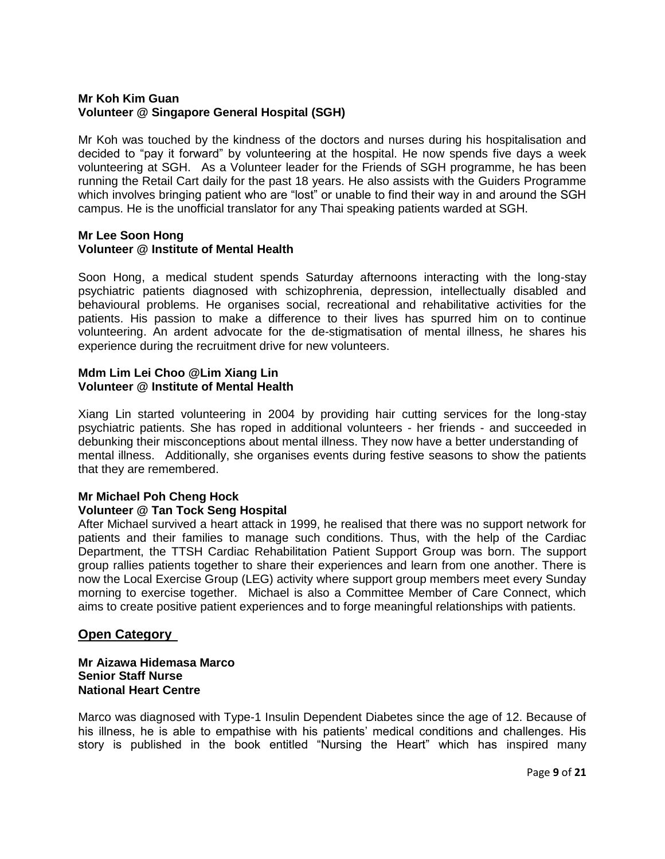## **Mr Koh Kim Guan Volunteer @ Singapore General Hospital (SGH)**

Mr Koh was touched by the kindness of the doctors and nurses during his hospitalisation and decided to "pay it forward" by volunteering at the hospital. He now spends five days a week volunteering at SGH. As a Volunteer leader for the Friends of SGH programme, he has been running the Retail Cart daily for the past 18 years. He also assists with the Guiders Programme which involves bringing patient who are "lost" or unable to find their way in and around the SGH campus. He is the unofficial translator for any Thai speaking patients warded at SGH.

## **Mr Lee Soon Hong Volunteer @ Institute of Mental Health**

Soon Hong, a medical student spends Saturday afternoons interacting with the long-stay psychiatric patients diagnosed with schizophrenia, depression, intellectually disabled and behavioural problems. He organises social, recreational and rehabilitative activities for the patients. His passion to make a difference to their lives has spurred him on to continue volunteering. An ardent advocate for the de-stigmatisation of mental illness, he shares his experience during the recruitment drive for new volunteers.

## **Mdm Lim Lei Choo @Lim Xiang Lin Volunteer @ Institute of Mental Health**

Xiang Lin started volunteering in 2004 by providing hair cutting services for the long-stay psychiatric patients. She has roped in additional volunteers - her friends - and succeeded in debunking their misconceptions about mental illness. They now have a better understanding of mental illness. Additionally, she organises events during festive seasons to show the patients that they are remembered.

# **Mr Michael Poh Cheng Hock**

## **Volunteer @ Tan Tock Seng Hospital**

After Michael survived a heart attack in 1999, he realised that there was no support network for patients and their families to manage such conditions. Thus, with the help of the Cardiac Department, the TTSH Cardiac Rehabilitation Patient Support Group was born. The support group rallies patients together to share their experiences and learn from one another. There is now the Local Exercise Group (LEG) activity where support group members meet every Sunday morning to exercise together. Michael is also a Committee Member of Care Connect, which aims to create positive patient experiences and to forge meaningful relationships with patients.

## **Open Category**

## **Mr Aizawa Hidemasa Marco Senior Staff Nurse National Heart Centre**

Marco was diagnosed with Type-1 Insulin Dependent Diabetes since the age of 12. Because of his illness, he is able to empathise with his patients' medical conditions and challenges. His story is published in the book entitled "Nursing the Heart" which has inspired many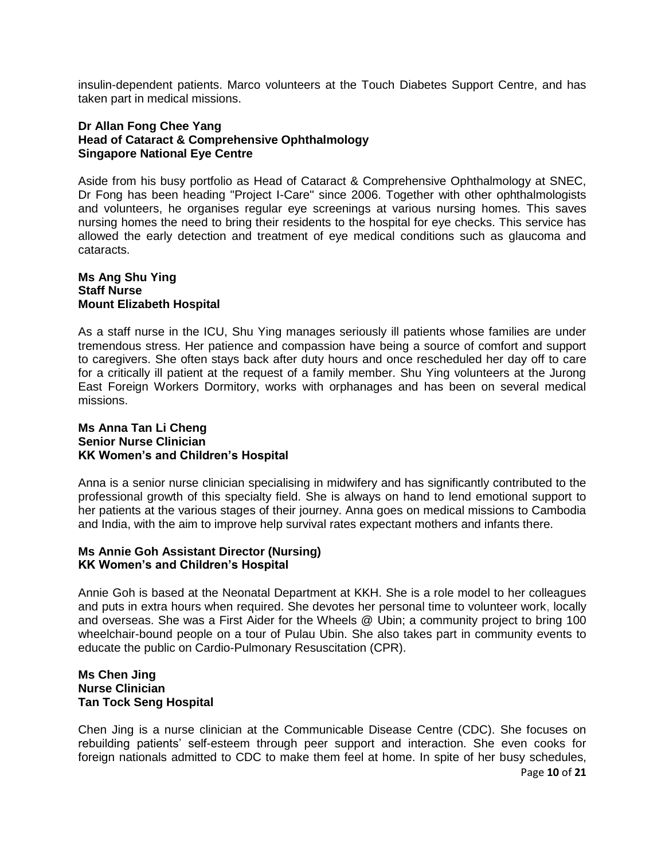insulin-dependent patients. Marco volunteers at the Touch Diabetes Support Centre, and has taken part in medical missions.

#### **Dr Allan Fong Chee Yang Head of Cataract & Comprehensive Ophthalmology Singapore National Eye Centre**

Aside from his busy portfolio as Head of Cataract & Comprehensive Ophthalmology at SNEC, Dr Fong has been heading "Project I-Care" since 2006. Together with other ophthalmologists and volunteers, he organises regular eye screenings at various nursing homes. This saves nursing homes the need to bring their residents to the hospital for eye checks. This service has allowed the early detection and treatment of eye medical conditions such as glaucoma and cataracts.

#### **Ms Ang Shu Ying Staff Nurse Mount Elizabeth Hospital**

As a staff nurse in the ICU, Shu Ying manages seriously ill patients whose families are under tremendous stress. Her patience and compassion have being a source of comfort and support to caregivers. She often stays back after duty hours and once rescheduled her day off to care for a critically ill patient at the request of a family member. Shu Ying volunteers at the Jurong East Foreign Workers Dormitory, works with orphanages and has been on several medical missions.

#### **Ms Anna Tan Li Cheng Senior Nurse Clinician KK Women's and Children's Hospital**

Anna is a senior nurse clinician specialising in midwifery and has significantly contributed to the professional growth of this specialty field. She is always on hand to lend emotional support to her patients at the various stages of their journey. Anna goes on medical missions to Cambodia and India, with the aim to improve help survival rates expectant mothers and infants there.

## **Ms Annie Goh Assistant Director (Nursing) KK Women's and Children's Hospital**

Annie Goh is based at the Neonatal Department at KKH. She is a role model to her colleagues and puts in extra hours when required. She devotes her personal time to volunteer work, locally and overseas. She was a First Aider for the Wheels @ Ubin; a community project to bring 100 wheelchair-bound people on a tour of Pulau Ubin. She also takes part in community events to educate the public on Cardio-Pulmonary Resuscitation (CPR).

#### **Ms Chen Jing Nurse Clinician Tan Tock Seng Hospital**

Chen Jing is a nurse clinician at the Communicable Disease Centre (CDC). She focuses on rebuilding patients' self-esteem through peer support and interaction. She even cooks for foreign nationals admitted to CDC to make them feel at home. In spite of her busy schedules,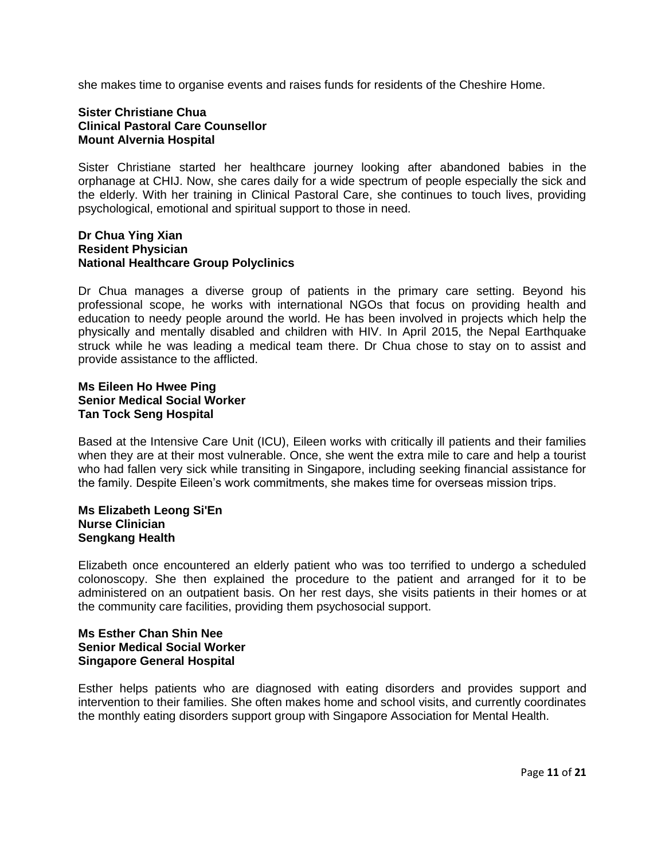she makes time to organise events and raises funds for residents of the Cheshire Home.

## **Sister Christiane Chua Clinical Pastoral Care Counsellor Mount Alvernia Hospital**

Sister Christiane started her healthcare journey looking after abandoned babies in the orphanage at CHIJ. Now, she cares daily for a wide spectrum of people especially the sick and the elderly. With her training in Clinical Pastoral Care, she continues to touch lives, providing psychological, emotional and spiritual support to those in need.

#### **Dr Chua Ying Xian Resident Physician National Healthcare Group Polyclinics**

Dr Chua manages a diverse group of patients in the primary care setting. Beyond his professional scope, he works with international NGOs that focus on providing health and education to needy people around the world. He has been involved in projects which help the physically and mentally disabled and children with HIV. In April 2015, the Nepal Earthquake struck while he was leading a medical team there. Dr Chua chose to stay on to assist and provide assistance to the afflicted.

### **Ms Eileen Ho Hwee Ping Senior Medical Social Worker Tan Tock Seng Hospital**

Based at the Intensive Care Unit (ICU), Eileen works with critically ill patients and their families when they are at their most vulnerable. Once, she went the extra mile to care and help a tourist who had fallen very sick while transiting in Singapore, including seeking financial assistance for the family. Despite Eileen's work commitments, she makes time for overseas mission trips.

#### **Ms Elizabeth Leong Si'En Nurse Clinician Sengkang Health**

Elizabeth once encountered an elderly patient who was too terrified to undergo a scheduled colonoscopy. She then explained the procedure to the patient and arranged for it to be administered on an outpatient basis. On her rest days, she visits patients in their homes or at the community care facilities, providing them psychosocial support.

## **Ms Esther Chan Shin Nee Senior Medical Social Worker Singapore General Hospital**

Esther helps patients who are diagnosed with eating disorders and provides support and intervention to their families. She often makes home and school visits, and currently coordinates the monthly eating disorders support group with Singapore Association for Mental Health.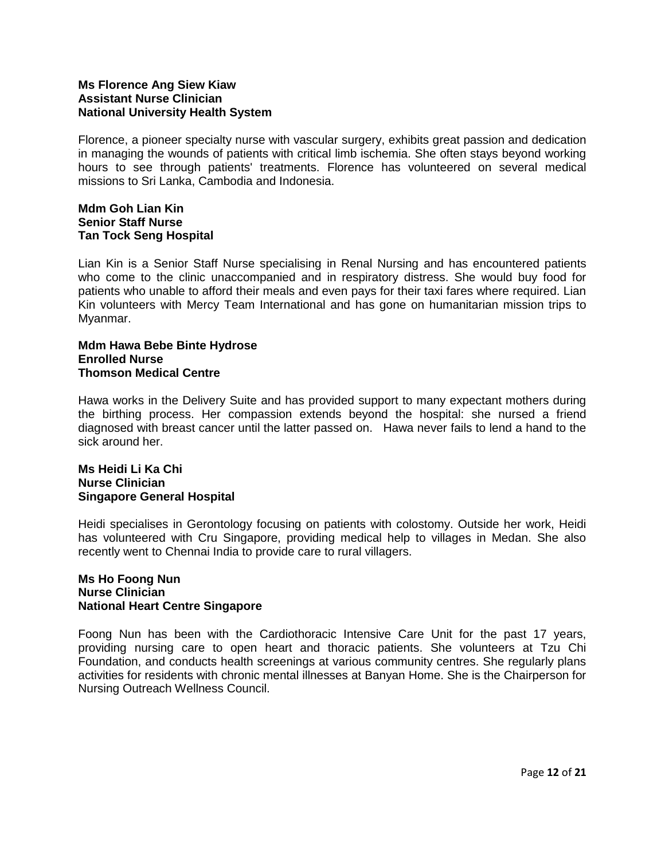## **Ms Florence Ang Siew Kiaw Assistant Nurse Clinician National University Health System**

Florence, a pioneer specialty nurse with vascular surgery, exhibits great passion and dedication in managing the wounds of patients with critical limb ischemia. She often stays beyond working hours to see through patients' treatments. Florence has volunteered on several medical missions to Sri Lanka, Cambodia and Indonesia.

## **Mdm Goh Lian Kin Senior Staff Nurse Tan Tock Seng Hospital**

Lian Kin is a Senior Staff Nurse specialising in Renal Nursing and has encountered patients who come to the clinic unaccompanied and in respiratory distress. She would buy food for patients who unable to afford their meals and even pays for their taxi fares where required. Lian Kin volunteers with Mercy Team International and has gone on humanitarian mission trips to Myanmar.

#### **Mdm Hawa Bebe Binte Hydrose Enrolled Nurse Thomson Medical Centre**

Hawa works in the Delivery Suite and has provided support to many expectant mothers during the birthing process. Her compassion extends beyond the hospital: she nursed a friend diagnosed with breast cancer until the latter passed on. Hawa never fails to lend a hand to the sick around her.

#### **Ms Heidi Li Ka Chi Nurse Clinician Singapore General Hospital**

Heidi specialises in Gerontology focusing on patients with colostomy. Outside her work, Heidi has volunteered with Cru Singapore, providing medical help to villages in Medan. She also recently went to Chennai India to provide care to rural villagers.

#### **Ms Ho Foong Nun Nurse Clinician National Heart Centre Singapore**

Foong Nun has been with the Cardiothoracic Intensive Care Unit for the past 17 years, providing nursing care to open heart and thoracic patients. She volunteers at Tzu Chi Foundation, and conducts health screenings at various community centres. She regularly plans activities for residents with chronic mental illnesses at Banyan Home. She is the Chairperson for Nursing Outreach Wellness Council.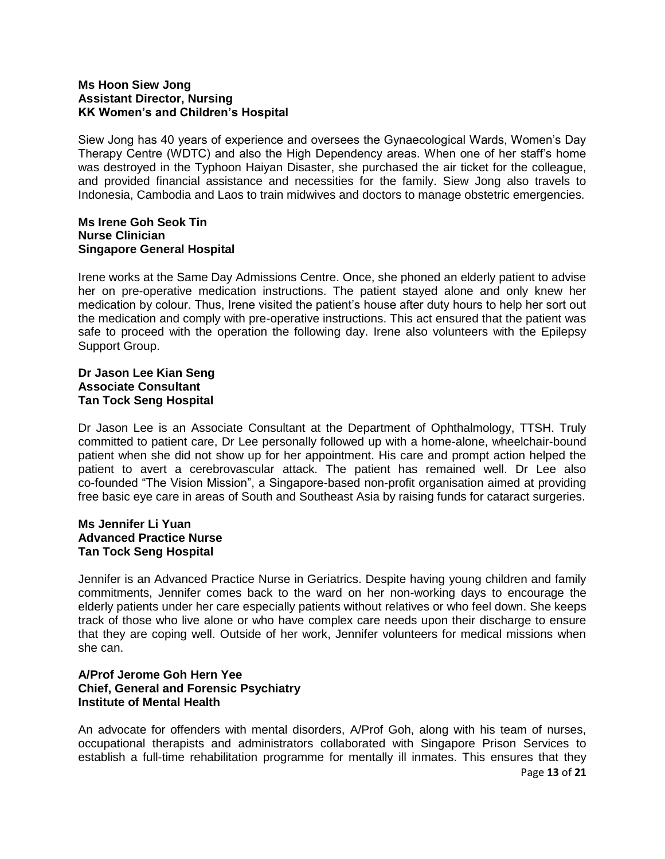## **Ms Hoon Siew Jong Assistant Director, Nursing KK Women's and Children's Hospital**

Siew Jong has 40 years of experience and oversees the Gynaecological Wards, Women's Day Therapy Centre (WDTC) and also the High Dependency areas. When one of her staff's home was destroyed in the Typhoon Haiyan Disaster, she purchased the air ticket for the colleague, and provided financial assistance and necessities for the family. Siew Jong also travels to Indonesia, Cambodia and Laos to train midwives and doctors to manage obstetric emergencies.

#### **Ms Irene Goh Seok Tin Nurse Clinician Singapore General Hospital**

Irene works at the Same Day Admissions Centre. Once, she phoned an elderly patient to advise her on pre-operative medication instructions. The patient stayed alone and only knew her medication by colour. Thus, Irene visited the patient's house after duty hours to help her sort out the medication and comply with pre-operative instructions. This act ensured that the patient was safe to proceed with the operation the following day. Irene also volunteers with the Epilepsy Support Group.

### **Dr Jason Lee Kian Seng Associate Consultant Tan Tock Seng Hospital**

Dr Jason Lee is an Associate Consultant at the Department of Ophthalmology, TTSH. Truly committed to patient care, Dr Lee personally followed up with a home-alone, wheelchair-bound patient when she did not show up for her appointment. His care and prompt action helped the patient to avert a cerebrovascular attack. The patient has remained well. Dr Lee also co-founded "The Vision Mission", a Singapore-based non-profit organisation aimed at providing free basic eye care in areas of South and Southeast Asia by raising funds for cataract surgeries.

## **Ms Jennifer Li Yuan Advanced Practice Nurse Tan Tock Seng Hospital**

Jennifer is an Advanced Practice Nurse in Geriatrics. Despite having young children and family commitments, Jennifer comes back to the ward on her non-working days to encourage the elderly patients under her care especially patients without relatives or who feel down. She keeps track of those who live alone or who have complex care needs upon their discharge to ensure that they are coping well. Outside of her work, Jennifer volunteers for medical missions when she can.

## **A/Prof Jerome Goh Hern Yee Chief, General and Forensic Psychiatry Institute of Mental Health**

An advocate for offenders with mental disorders, A/Prof Goh, along with his team of nurses, occupational therapists and administrators collaborated with Singapore Prison Services to establish a full-time rehabilitation programme for mentally ill inmates. This ensures that they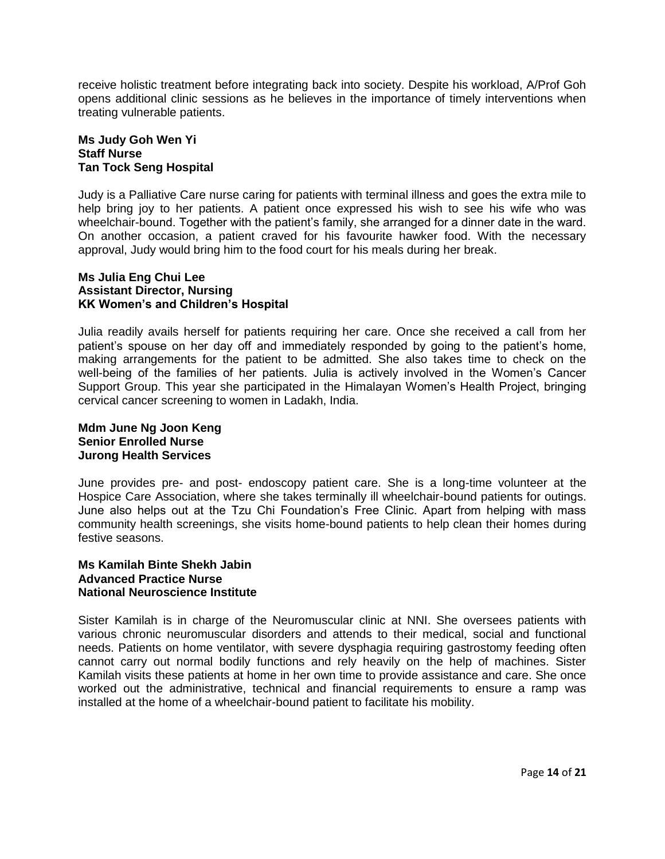receive holistic treatment before integrating back into society. Despite his workload, A/Prof Goh opens additional clinic sessions as he believes in the importance of timely interventions when treating vulnerable patients.

## **Ms Judy Goh Wen Yi Staff Nurse Tan Tock Seng Hospital**

Judy is a Palliative Care nurse caring for patients with terminal illness and goes the extra mile to help bring joy to her patients. A patient once expressed his wish to see his wife who was wheelchair-bound. Together with the patient's family, she arranged for a dinner date in the ward. On another occasion, a patient craved for his favourite hawker food. With the necessary approval, Judy would bring him to the food court for his meals during her break.

#### **Ms Julia Eng Chui Lee Assistant Director, Nursing KK Women's and Children's Hospital**

Julia readily avails herself for patients requiring her care. Once she received a call from her patient's spouse on her day off and immediately responded by going to the patient's home, making arrangements for the patient to be admitted. She also takes time to check on the well-being of the families of her patients. Julia is actively involved in the Women's Cancer Support Group. This year she participated in the Himalayan Women's Health Project, bringing cervical cancer screening to women in Ladakh, India.

## **Mdm June Ng Joon Keng Senior Enrolled Nurse Jurong Health Services**

June provides pre- and post- endoscopy patient care. She is a long-time volunteer at the Hospice Care Association, where she takes terminally ill wheelchair-bound patients for outings. June also helps out at the Tzu Chi Foundation's Free Clinic. Apart from helping with mass community health screenings, she visits home-bound patients to help clean their homes during festive seasons.

#### **Ms Kamilah Binte Shekh Jabin Advanced Practice Nurse National Neuroscience Institute**

Sister Kamilah is in charge of the Neuromuscular clinic at NNI. She oversees patients with various chronic neuromuscular disorders and attends to their medical, social and functional needs. Patients on home ventilator, with severe dysphagia requiring gastrostomy feeding often cannot carry out normal bodily functions and rely heavily on the help of machines. Sister Kamilah visits these patients at home in her own time to provide assistance and care. She once worked out the administrative, technical and financial requirements to ensure a ramp was installed at the home of a wheelchair-bound patient to facilitate his mobility.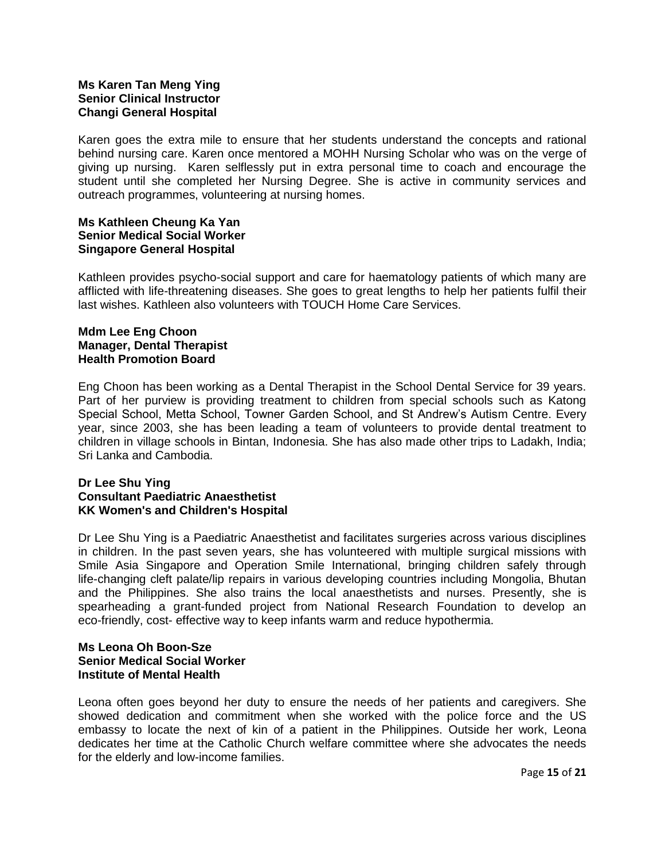## **Ms Karen Tan Meng Ying Senior Clinical Instructor Changi General Hospital**

Karen goes the extra mile to ensure that her students understand the concepts and rational behind nursing care. Karen once mentored a MOHH Nursing Scholar who was on the verge of giving up nursing. Karen selflessly put in extra personal time to coach and encourage the student until she completed her Nursing Degree. She is active in community services and outreach programmes, volunteering at nursing homes.

## **Ms Kathleen Cheung Ka Yan Senior Medical Social Worker Singapore General Hospital**

Kathleen provides psycho-social support and care for haematology patients of which many are afflicted with life-threatening diseases. She goes to great lengths to help her patients fulfil their last wishes. Kathleen also volunteers with TOUCH Home Care Services.

### **Mdm Lee Eng Choon Manager, Dental Therapist Health Promotion Board**

Eng Choon has been working as a Dental Therapist in the School Dental Service for 39 years. Part of her purview is providing treatment to children from special schools such as Katong Special School, Metta School, Towner Garden School, and St Andrew's Autism Centre. Every year, since 2003, she has been leading a team of volunteers to provide dental treatment to children in village schools in Bintan, Indonesia. She has also made other trips to Ladakh, India; Sri Lanka and Cambodia.

#### **Dr Lee Shu Ying Consultant Paediatric Anaesthetist KK Women's and Children's Hospital**

Dr Lee Shu Ying is a Paediatric Anaesthetist and facilitates surgeries across various disciplines in children. In the past seven years, she has volunteered with multiple surgical missions with Smile Asia Singapore and Operation Smile International, bringing children safely through life-changing cleft palate/lip repairs in various developing countries including Mongolia, Bhutan and the Philippines. She also trains the local anaesthetists and nurses. Presently, she is spearheading a grant-funded project from National Research Foundation to develop an eco-friendly, cost- effective way to keep infants warm and reduce hypothermia.

## **Ms Leona Oh Boon-Sze Senior Medical Social Worker Institute of Mental Health**

Leona often goes beyond her duty to ensure the needs of her patients and caregivers. She showed dedication and commitment when she worked with the police force and the US embassy to locate the next of kin of a patient in the Philippines. Outside her work, Leona dedicates her time at the Catholic Church welfare committee where she advocates the needs for the elderly and low-income families.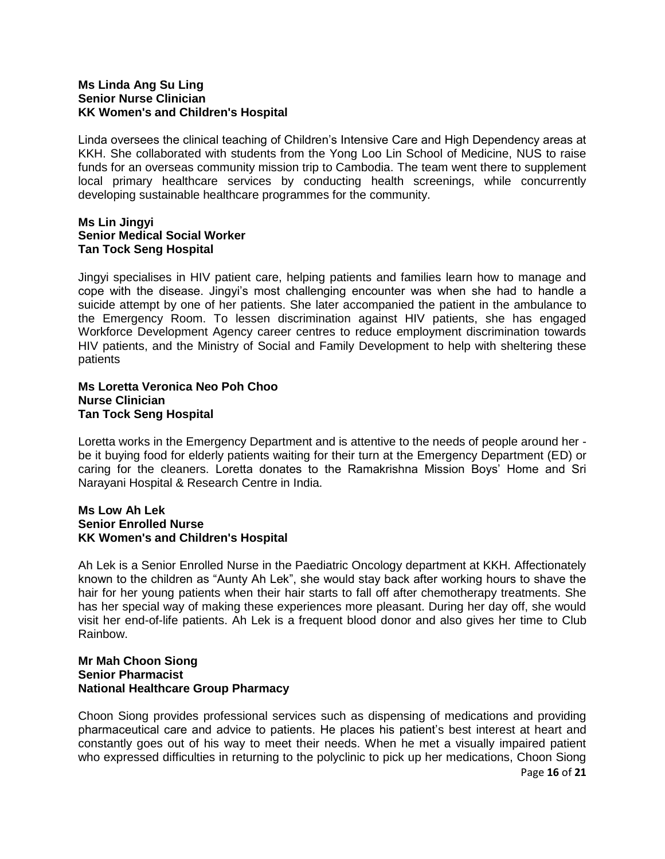## **Ms Linda Ang Su Ling Senior Nurse Clinician KK Women's and Children's Hospital**

Linda oversees the clinical teaching of Children's Intensive Care and High Dependency areas at KKH. She collaborated with students from the Yong Loo Lin School of Medicine, NUS to raise funds for an overseas community mission trip to Cambodia. The team went there to supplement local primary healthcare services by conducting health screenings, while concurrently developing sustainable healthcare programmes for the community.

## **Ms Lin Jingyi Senior Medical Social Worker Tan Tock Seng Hospital**

Jingyi specialises in HIV patient care, helping patients and families learn how to manage and cope with the disease. Jingyi's most challenging encounter was when she had to handle a suicide attempt by one of her patients. She later accompanied the patient in the ambulance to the Emergency Room. To lessen discrimination against HIV patients, she has engaged Workforce Development Agency career centres to reduce employment discrimination towards HIV patients, and the Ministry of Social and Family Development to help with sheltering these patients

### **Ms Loretta Veronica Neo Poh Choo Nurse Clinician Tan Tock Seng Hospital**

Loretta works in the Emergency Department and is attentive to the needs of people around her be it buying food for elderly patients waiting for their turn at the Emergency Department (ED) or caring for the cleaners. Loretta donates to the Ramakrishna Mission Boys' Home and Sri Narayani Hospital & Research Centre in India.

#### **Ms Low Ah Lek Senior Enrolled Nurse KK Women's and Children's Hospital**

Ah Lek is a Senior Enrolled Nurse in the Paediatric Oncology department at KKH. Affectionately known to the children as "Aunty Ah Lek", she would stay back after working hours to shave the hair for her young patients when their hair starts to fall off after chemotherapy treatments. She has her special way of making these experiences more pleasant. During her day off, she would visit her end-of-life patients. Ah Lek is a frequent blood donor and also gives her time to Club Rainbow.

#### **Mr Mah Choon Siong Senior Pharmacist National Healthcare Group Pharmacy**

Choon Siong provides professional services such as dispensing of medications and providing pharmaceutical care and advice to patients. He places his patient's best interest at heart and constantly goes out of his way to meet their needs. When he met a visually impaired patient who expressed difficulties in returning to the polyclinic to pick up her medications, Choon Siong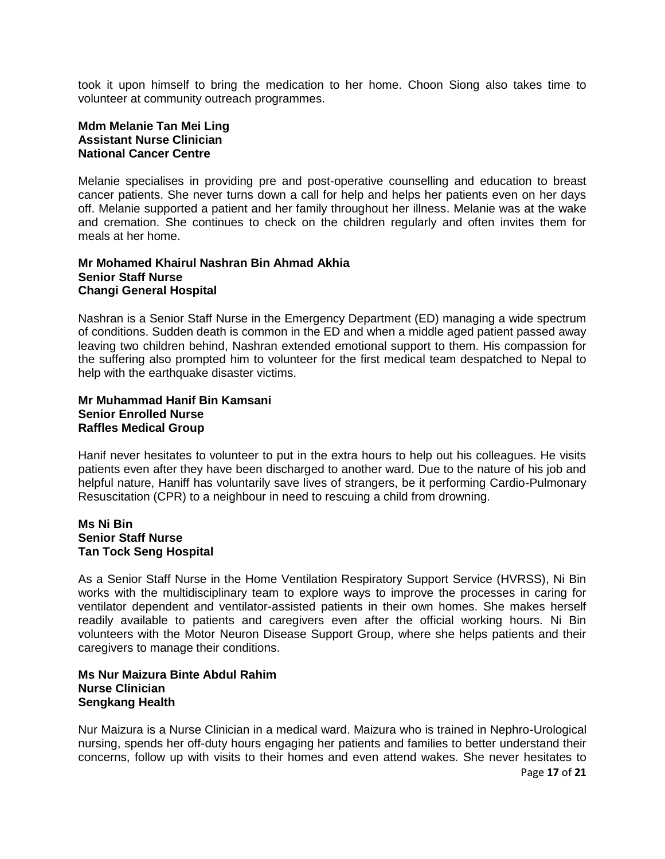took it upon himself to bring the medication to her home. Choon Siong also takes time to volunteer at community outreach programmes.

#### **Mdm Melanie Tan Mei Ling Assistant Nurse Clinician National Cancer Centre**

Melanie specialises in providing pre and post-operative counselling and education to breast cancer patients. She never turns down a call for help and helps her patients even on her days off. Melanie supported a patient and her family throughout her illness. Melanie was at the wake and cremation. She continues to check on the children regularly and often invites them for meals at her home.

#### **Mr Mohamed Khairul Nashran Bin Ahmad Akhia Senior Staff Nurse Changi General Hospital**

Nashran is a Senior Staff Nurse in the Emergency Department (ED) managing a wide spectrum of conditions. Sudden death is common in the ED and when a middle aged patient passed away leaving two children behind, Nashran extended emotional support to them. His compassion for the suffering also prompted him to volunteer for the first medical team despatched to Nepal to help with the earthquake disaster victims.

## **Mr Muhammad Hanif Bin Kamsani Senior Enrolled Nurse Raffles Medical Group**

Hanif never hesitates to volunteer to put in the extra hours to help out his colleagues. He visits patients even after they have been discharged to another ward. Due to the nature of his job and helpful nature, Haniff has voluntarily save lives of strangers, be it performing Cardio-Pulmonary Resuscitation (CPR) to a neighbour in need to rescuing a child from drowning.

#### **Ms Ni Bin Senior Staff Nurse Tan Tock Seng Hospital**

As a Senior Staff Nurse in the Home Ventilation Respiratory Support Service (HVRSS), Ni Bin works with the multidisciplinary team to explore ways to improve the processes in caring for ventilator dependent and ventilator-assisted patients in their own homes. She makes herself readily available to patients and caregivers even after the official working hours. Ni Bin volunteers with the Motor Neuron Disease Support Group, where she helps patients and their caregivers to manage their conditions.

#### **Ms Nur Maizura Binte Abdul Rahim Nurse Clinician Sengkang Health**

Nur Maizura is a Nurse Clinician in a medical ward. Maizura who is trained in Nephro-Urological nursing, spends her off-duty hours engaging her patients and families to better understand their concerns, follow up with visits to their homes and even attend wakes. She never hesitates to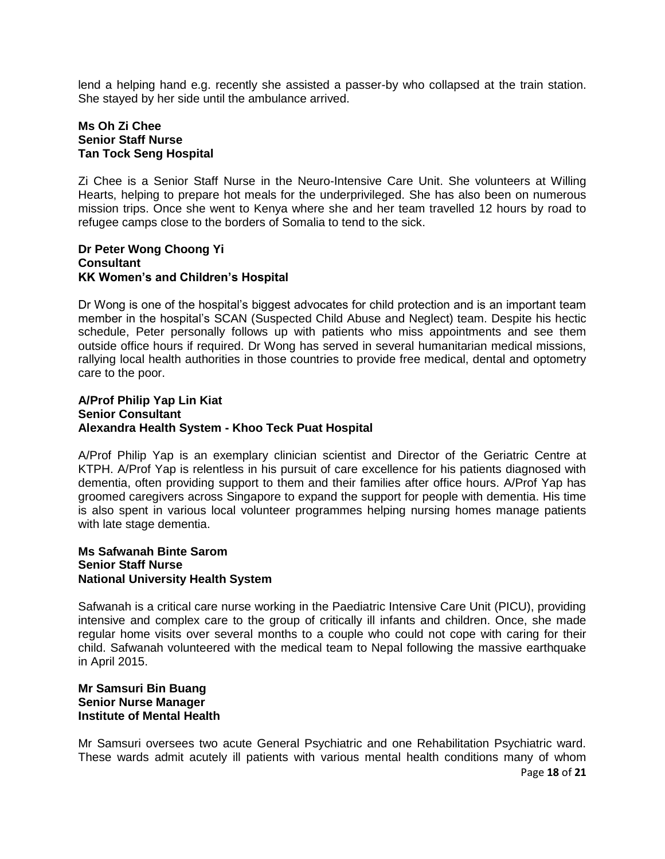lend a helping hand e.g. recently she assisted a passer-by who collapsed at the train station. She stayed by her side until the ambulance arrived.

## **Ms Oh Zi Chee Senior Staff Nurse Tan Tock Seng Hospital**

Zi Chee is a Senior Staff Nurse in the Neuro-Intensive Care Unit. She volunteers at Willing Hearts, helping to prepare hot meals for the underprivileged. She has also been on numerous mission trips. Once she went to Kenya where she and her team travelled 12 hours by road to refugee camps close to the borders of Somalia to tend to the sick.

#### **Dr Peter Wong Choong Yi Consultant KK Women's and Children's Hospital**

Dr Wong is one of the hospital's biggest advocates for child protection and is an important team member in the hospital's SCAN (Suspected Child Abuse and Neglect) team. Despite his hectic schedule, Peter personally follows up with patients who miss appointments and see them outside office hours if required. Dr Wong has served in several humanitarian medical missions, rallying local health authorities in those countries to provide free medical, dental and optometry care to the poor.

#### **A/Prof Philip Yap Lin Kiat Senior Consultant Alexandra Health System - Khoo Teck Puat Hospital**

A/Prof Philip Yap is an exemplary clinician scientist and Director of the Geriatric Centre at KTPH. A/Prof Yap is relentless in his pursuit of care excellence for his patients diagnosed with dementia, often providing support to them and their families after office hours. A/Prof Yap has groomed caregivers across Singapore to expand the support for people with dementia. His time is also spent in various local volunteer programmes helping nursing homes manage patients with late stage dementia.

## **Ms Safwanah Binte Sarom Senior Staff Nurse National University Health System**

Safwanah is a critical care nurse working in the Paediatric Intensive Care Unit (PICU), providing intensive and complex care to the group of critically ill infants and children. Once, she made regular home visits over several months to a couple who could not cope with caring for their child. Safwanah volunteered with the medical team to Nepal following the massive earthquake in April 2015.

## **Mr Samsuri Bin Buang Senior Nurse Manager Institute of Mental Health**

Page **18** of **21** Mr Samsuri oversees two acute General Psychiatric and one Rehabilitation Psychiatric ward. These wards admit acutely ill patients with various mental health conditions many of whom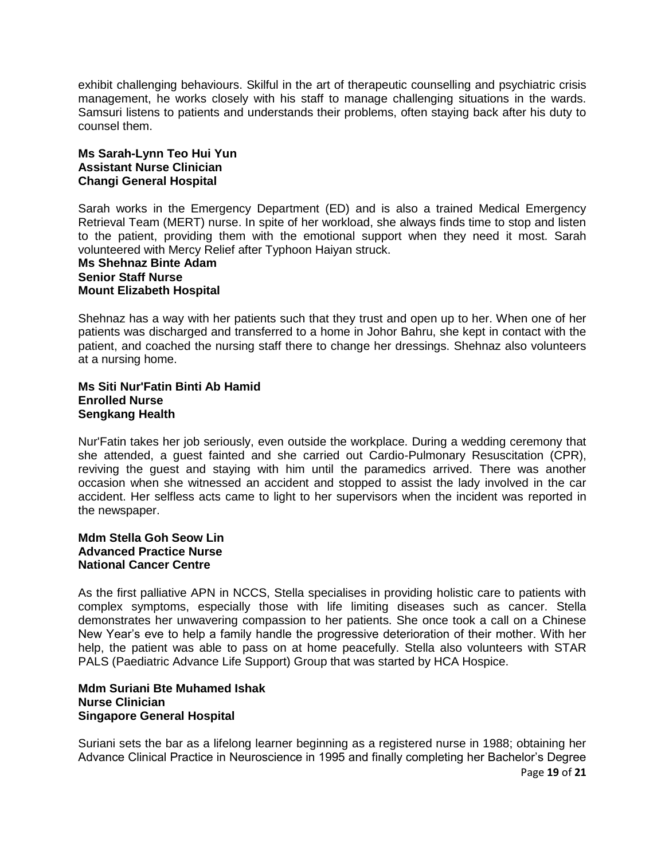exhibit challenging behaviours. Skilful in the art of therapeutic counselling and psychiatric crisis management, he works closely with his staff to manage challenging situations in the wards. Samsuri listens to patients and understands their problems, often staying back after his duty to counsel them.

## **Ms Sarah-Lynn Teo Hui Yun Assistant Nurse Clinician Changi General Hospital**

Sarah works in the Emergency Department (ED) and is also a trained Medical Emergency Retrieval Team (MERT) nurse. In spite of her workload, she always finds time to stop and listen to the patient, providing them with the emotional support when they need it most. Sarah volunteered with Mercy Relief after Typhoon Haiyan struck.

## **Ms Shehnaz Binte Adam Senior Staff Nurse Mount Elizabeth Hospital**

Shehnaz has a way with her patients such that they trust and open up to her. When one of her patients was discharged and transferred to a home in Johor Bahru, she kept in contact with the patient, and coached the nursing staff there to change her dressings. Shehnaz also volunteers at a nursing home.

### **Ms Siti Nur'Fatin Binti Ab Hamid Enrolled Nurse Sengkang Health**

Nur'Fatin takes her job seriously, even outside the workplace. During a wedding ceremony that she attended, a guest fainted and she carried out Cardio-Pulmonary Resuscitation (CPR), reviving the guest and staying with him until the paramedics arrived. There was another occasion when she witnessed an accident and stopped to assist the lady involved in the car accident. Her selfless acts came to light to her supervisors when the incident was reported in the newspaper.

#### **Mdm Stella Goh Seow Lin Advanced Practice Nurse National Cancer Centre**

As the first palliative APN in NCCS, Stella specialises in providing holistic care to patients with complex symptoms, especially those with life limiting diseases such as cancer. Stella demonstrates her unwavering compassion to her patients. She once took a call on a Chinese New Year's eve to help a family handle the progressive deterioration of their mother. With her help, the patient was able to pass on at home peacefully. Stella also volunteers with STAR PALS (Paediatric Advance Life Support) Group that was started by HCA Hospice.

#### **Mdm Suriani Bte Muhamed Ishak Nurse Clinician Singapore General Hospital**

Page **19** of **21** Suriani sets the bar as a lifelong learner beginning as a registered nurse in 1988; obtaining her Advance Clinical Practice in Neuroscience in 1995 and finally completing her Bachelor's Degree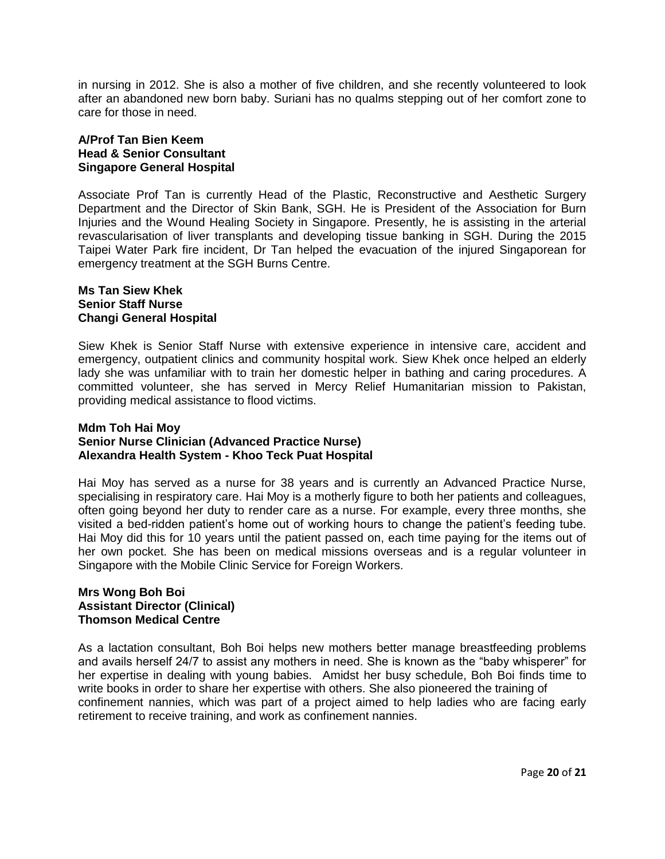in nursing in 2012. She is also a mother of five children, and she recently volunteered to look after an abandoned new born baby. Suriani has no qualms stepping out of her comfort zone to care for those in need.

## **A/Prof Tan Bien Keem Head & Senior Consultant Singapore General Hospital**

Associate Prof Tan is currently Head of the Plastic, Reconstructive and Aesthetic Surgery Department and the Director of Skin Bank, SGH. He is President of the Association for Burn Injuries and the Wound Healing Society in Singapore. Presently, he is assisting in the arterial revascularisation of liver transplants and developing tissue banking in SGH. During the 2015 Taipei Water Park fire incident, Dr Tan helped the evacuation of the injured Singaporean for emergency treatment at the SGH Burns Centre.

### **Ms Tan Siew Khek Senior Staff Nurse Changi General Hospital**

Siew Khek is Senior Staff Nurse with extensive experience in intensive care, accident and emergency, outpatient clinics and community hospital work. Siew Khek once helped an elderly lady she was unfamiliar with to train her domestic helper in bathing and caring procedures. A committed volunteer, she has served in Mercy Relief Humanitarian mission to Pakistan, providing medical assistance to flood victims.

#### **Mdm Toh Hai Moy Senior Nurse Clinician (Advanced Practice Nurse) Alexandra Health System - Khoo Teck Puat Hospital**

Hai Moy has served as a nurse for 38 years and is currently an Advanced Practice Nurse, specialising in respiratory care. Hai Moy is a motherly figure to both her patients and colleagues, often going beyond her duty to render care as a nurse. For example, every three months, she visited a bed-ridden patient's home out of working hours to change the patient's feeding tube. Hai Moy did this for 10 years until the patient passed on, each time paying for the items out of her own pocket. She has been on medical missions overseas and is a regular volunteer in Singapore with the Mobile Clinic Service for Foreign Workers.

## **Mrs Wong Boh Boi Assistant Director (Clinical) Thomson Medical Centre**

As a lactation consultant, Boh Boi helps new mothers better manage breastfeeding problems and avails herself 24/7 to assist any mothers in need. She is known as the "baby whisperer" for her expertise in dealing with young babies. Amidst her busy schedule, Boh Boi finds time to write books in order to share her expertise with others. She also pioneered the training of confinement nannies, which was part of a project aimed to help ladies who are facing early retirement to receive training, and work as confinement nannies.